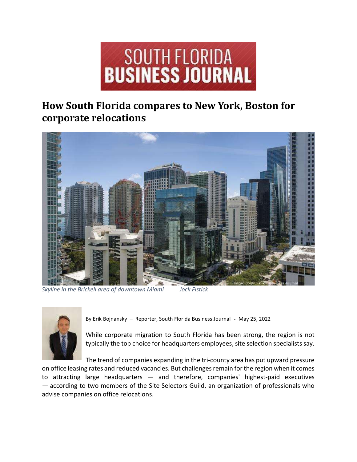

## How South Florida compares to New York, Boston for corporate relocations



Skyline in the Brickell area of downtown Miami Jock Fistick



By Erik Bojnansky – Reporter, South Florida Business Journal - May 25, 2022

While corporate migration to South Florida has been strong, the region is not typically the top choice for headquarters employees, site selection specialists say.

The trend of companies expanding in the tri-county area has put upward pressure on office leasing rates and reduced vacancies. But challenges remain for the region when it comes to attracting large headquarters — and therefore, companies' highest-paid executives — according to two members of the Site Selectors Guild, an organization of professionals who advise companies on office relocations.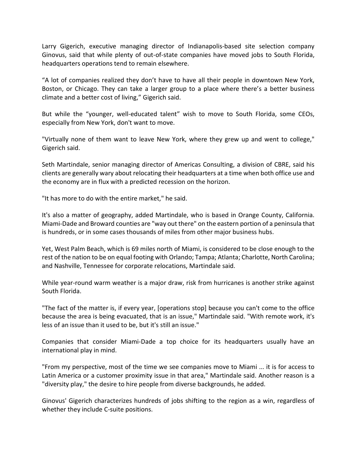Larry Gigerich, executive managing director of Indianapolis-based site selection company Ginovus, said that while plenty of out-of-state companies have moved jobs to South Florida, headquarters operations tend to remain elsewhere.

"A lot of companies realized they don't have to have all their people in downtown New York, Boston, or Chicago. They can take a larger group to a place where there's a better business climate and a better cost of living," Gigerich said.

But while the "younger, well-educated talent" wish to move to South Florida, some CEOs, especially from New York, don't want to move.

"Virtually none of them want to leave New York, where they grew up and went to college," Gigerich said.

Seth Martindale, senior managing director of Americas Consulting, a division of CBRE, said his clients are generally wary about relocating their headquarters at a time when both office use and the economy are in flux with a predicted recession on the horizon.

"It has more to do with the entire market," he said.

It's also a matter of geography, added Martindale, who is based in Orange County, California. Miami-Dade and Broward counties are "way out there" on the eastern portion of a peninsula that is hundreds, or in some cases thousands of miles from other major business hubs.

Yet, West Palm Beach, which is 69 miles north of Miami, is considered to be close enough to the rest of the nation to be on equal footing with Orlando; Tampa; Atlanta; Charlotte, North Carolina; and Nashville, Tennessee for corporate relocations, Martindale said.

While year-round warm weather is a major draw, risk from hurricanes is another strike against South Florida.

"The fact of the matter is, if every year, [operations stop] because you can't come to the office because the area is being evacuated, that is an issue," Martindale said. "With remote work, it's less of an issue than it used to be, but it's still an issue."

Companies that consider Miami-Dade a top choice for its headquarters usually have an international play in mind.

"From my perspective, most of the time we see companies move to Miami ... it is for access to Latin America or a customer proximity issue in that area," Martindale said. Another reason is a "diversity play," the desire to hire people from diverse backgrounds, he added.

Ginovus' Gigerich characterizes hundreds of jobs shifting to the region as a win, regardless of whether they include C-suite positions.